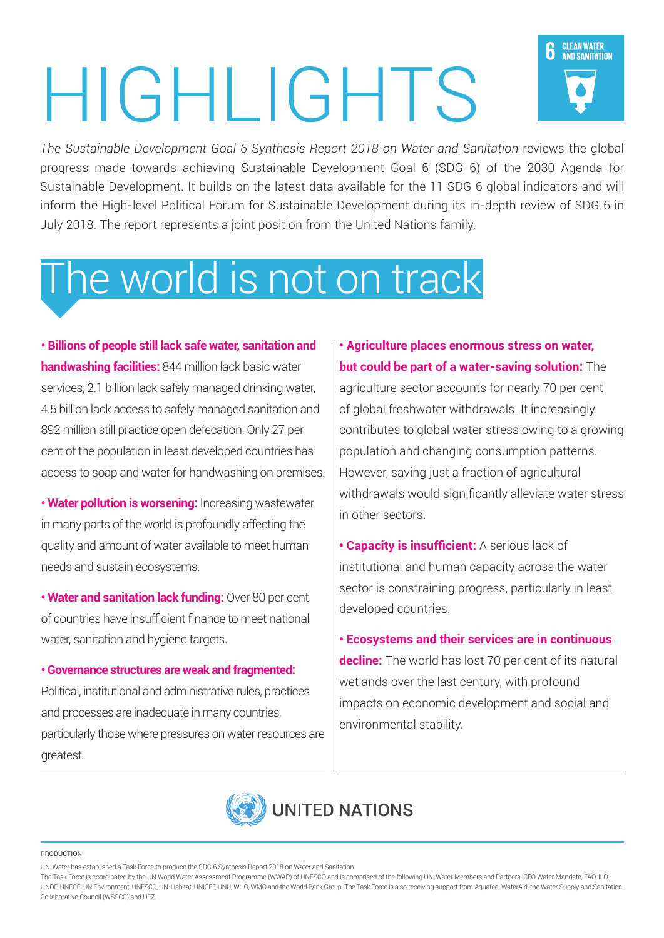# HIGHLIGHTS

The Sustainable Development Goal 6 Synthesis Report 2018 on Water and Sanitation reviews the global progress made towards achieving Sustainable Development Goal 6 (SDG 6) of the 2030 Agenda for Sustainable Development. It builds on the latest data available for the 11 SDG 6 global indicators and will inform the High-level Political Forum for Sustainable Development during its in-depth review of SDG 6 in July 2018. The report represents a joint position from the United Nations family.

## The world is not on track

**• Billions of people still lack safe water, sanitation and handwashing facilities:** 844 million lack basic water services, 2.1 billion lack safely managed drinking water, 4.5 billion lack access to safely managed sanitation and 892 million still practice open defecation. Only 27 per cent of the population in least developed countries has access to soap and water for handwashing on premises.

**• Water pollution is worsening:** Increasing wastewater in many parts of the world is profoundly affecting the quality and amount of water available to meet human needs and sustain ecosystems.

**· Water and sanitation lack funding: Over 80 per cent** of countries have insufficient finance to meet national water, sanitation and hygiene targets.

**• Governance structures are weak and fragmented:** Political, institutional and administrative rules, practices and processes are inadequate in many countries,

particularly those where pressures on water resources are .greatest

**• Agriculture places enormous stress on water,** but could be part of a water-saving solution: The agriculture sector accounts for nearly 70 per cent of global freshwater withdrawals. It increasingly contributes to global water stress owing to a growing population and changing consumption patterns. However, saving just a fraction of agricultural withdrawals would significantly alleviate water stress in other sectors.

**CLEAN WATER** 

AND SANITATION

h

**• Capacity is insufficient:** A serious lack of institutional and human capacity across the water sector is constraining progress, particularly in least developed countries.

**Ecosystems and their services are in continuous decline:** The world has lost 70 per cent of its natural wetlands over the last century, with profound impacts on economic development and social and environmental stability.



#### PRODUCTION

UN-Water has established a Task Force to produce the SDG 6 Synthesis Report 2018 on Water and Sanitation.

The Task Force is coordinated by the UN World Water Assessment Programme (WWAP) of UNESCO and is comprised of the following UN-Water Members and Partners: CEO Water Mandate, FAO, ILO, UNDP, UNECE, UN Environment, UNESCO, UN-Habitat, UNICEF, UNU, WHO, WMO and the World Bank Group. The Task Force is also receiving support from Aquafed, WaterAid, the Water Supply and Sanitation Collaborative Council (WSSCC) and UFZ.